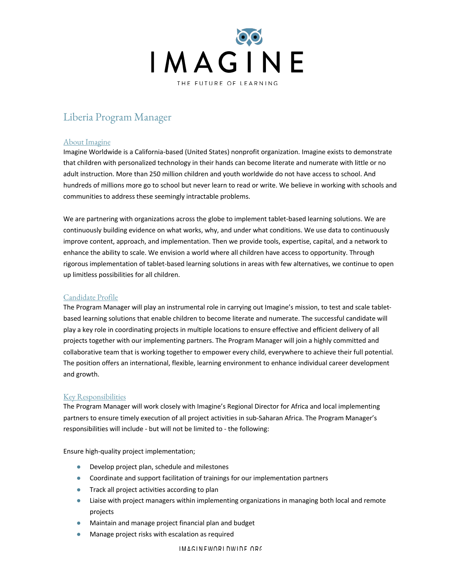

# Liberia Program Manager

## About Imagine

Imagine Worldwide is a California-based (United States) nonprofit organization. Imagine exists to demonstrate that children with personalized technology in their hands can become literate and numerate with little or no adult instruction. More than 250 million children and youth worldwide do not have access to school. And hundreds of millions more go to school but never learn to read or write. We believe in working with schools and communities to address these seemingly intractable problems.

We are partnering with organizations across the globe to implement tablet-based learning solutions. We are continuously building evidence on what works, why, and under what conditions. We use data to continuously improve content, approach, and implementation. Then we provide tools, expertise, capital, and a network to enhance the ability to scale. We envision a world where all children have access to opportunity. Through rigorous implementation of tablet-based learning solutions in areas with few alternatives, we continue to open up limitless possibilities for all children.

## Candidate Profile

The Program Manager will play an instrumental role in carrying out Imagine's mission, to test and scale tabletbased learning solutions that enable children to become literate and numerate. The successful candidate will play a key role in coordinating projects in multiple locations to ensure effective and efficient delivery of all projects together with our implementing partners. The Program Manager will join a highly committed and collaborative team that is working together to empower every child, everywhere to achieve their full potential. The position offers an international, flexible, learning environment to enhance individual career development and growth.

## Key Responsibilities

The Program Manager will work closely with Imagine's Regional Director for Africa and local implementing partners to ensure timely execution of all project activities in sub-Saharan Africa. The Program Manager's responsibilities will include - but will not be limited to - the following:

Ensure high-quality project implementation;

- Develop project plan, schedule and milestones
- Coordinate and support facilitation of trainings for our implementation partners
- Track all project activities according to plan
- Liaise with project managers within implementing organizations in managing both local and remote projects
- Maintain and manage project financial plan and budget
- Manage project risks with escalation as required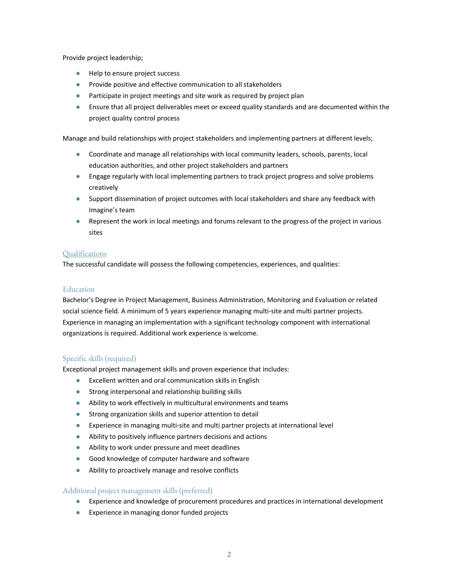Provide project leadership;

- Help to ensure project success
- Provide positive and effective communication to all stakeholders
- Participate in project meetings and site work as required by project plan
- Ensure that all project deliverables meet or exceed quality standards and are documented within the project quality control process

Manage and build relationships with project stakeholders and implementing partners at different levels;

- Coordinate and manage all relationships with local community leaders, schools, parents, local education authorities, and other project stakeholders and partners
- Engage regularly with local implementing partners to track project progress and solve problems creatively
- Support dissemination of project outcomes with local stakeholders and share any feedback with Imagine's team
- Represent the work in local meetings and forums relevant to the progress of the project in various sites

## **Qualifications**

The successful candidate will possess the following competencies, experiences, and qualities:

## Education

Bachelor's Degree in Project Management, Business Administration, Monitoring and Evaluation or related social science field. A minimum of 5 years experience managing multi-site and multi partner projects. Experience in managing an implementation with a significant technology component with international organizations is required. Additional work experience is welcome.

## Specific skills (required)

Exceptional project management skills and proven experience that includes:

- Excellent written and oral communication skills in English
- Strong interpersonal and relationship building skills
- Ability to work effectively in multicultural environments and teams
- Strong organization skills and superior attention to detail
- Experience in managing multi-site and multi partner projects at international level
- Ability to positively influence partners decisions and actions
- Ability to work under pressure and meet deadlines
- Good knowledge of computer hardware and software
- Ability to proactively manage and resolve conflicts

## Additional project management skills (preferred)

- Experience and knowledge of procurement procedures and practices in international development
- Experience in managing donor funded projects